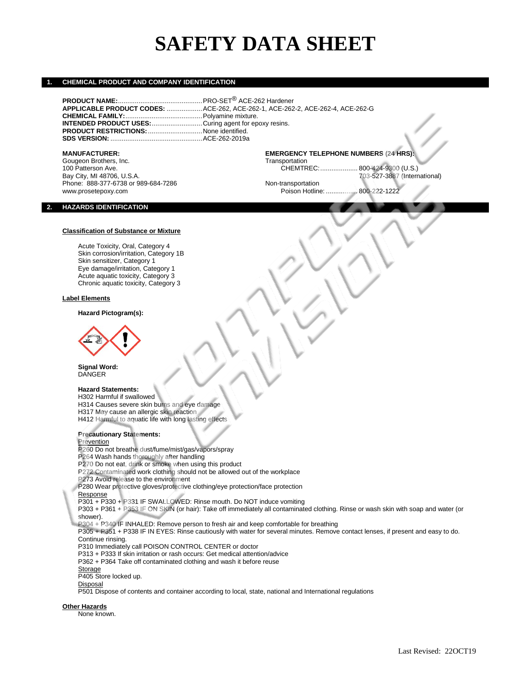# **SAFETY DATA SHEET**

## **1. CHEMICAL PRODUCT AND COMPANY IDENTIFICATION**

|                                                              | APPLICABLE PRODUCT CODES: ACE-262, ACE-262-1, ACE-262-2, ACE-262-4, ACE-262-G |
|--------------------------------------------------------------|-------------------------------------------------------------------------------|
|                                                              |                                                                               |
| <b>INTENDED PRODUCT USES:</b> Curing agent for epoxy resins. |                                                                               |
|                                                              |                                                                               |
|                                                              |                                                                               |

**MANUFACTURER: EMERGENCY TELEPHONE NUMBERS (24 HRS):** Gougeon Brothers, Inc. Communication Communication CHEMTREC:<br>100 Patterson Ave. CHEMTREC: 100 Patterson Ave. CHEMTREC:.................... 800-424-9300 (U.S.) Bay City, MI 48706, U.S.A.<br>
Phone: 888-377-6738 or 989-684-7286 (International) Mon-transportational Phone: 888-377-6738 or 989-684-7286 www.prosetepoxy.com Poison Hotline: ................. 800-222-1222

## **2. HAZARDS IDENTIFICATION**

## **Classification of Substance or Mixture**

Acute Toxicity, Oral, Category 4 Skin corrosion/irritation, Category 1B Skin sensitizer, Category 1 Eye damage/irritation, Category 1 Acute aquatic toxicity, Category 3 Chronic aquatic toxicity, Category 3

## **Label Elements**

**Hazard Pictogram(s):**



**Signal Word: DANGER** 

## **Hazard Statements:**

H302 Harmful if swallowed

H314 Causes severe skin burns and eye damage

H317 May cause an allergic skin reaction H412 Harmful to aquatic life with long lasting effects

**Precautionary Statements:**

## Prevention

P260 Do not breathe dust/fume/mist/gas/vapors/spray

P264 Wash hands thoroughly after handling

P270 Do not eat, drink or smoke when using this product

P272 Contaminated work clothing should not be allowed out of the workplace

P273 Avoid release to the environment

P280 Wear protective gloves/protective clothing/eye protection/face protection

Response

P301 + P330 + P331 IF SWALLOWED: Rinse mouth. Do NOT induce vomiting

P303 + P361 + P353 IF ON SKIN (or hair): Take off immediately all contaminated clothing. Rinse or wash skin with soap and water (or shower).

P304 + P340 IF INHALED: Remove person to fresh air and keep comfortable for breathing

P305 + P351 + P338 IF IN EYES: Rinse cautiously with water for several minutes. Remove contact lenses, if present and easy to do. Continue rinsing.

P310 Immediately call POISON CONTROL CENTER or doctor

P313 + P333 If skin irritation or rash occurs: Get medical attention/advice

P362 + P364 Take off contaminated clothing and wash it before reuse

**Storage** 

P405 Store locked up.

Disposal

P501 Dispose of contents and container according to local, state, national and International regulations

**Other Hazards**

None known.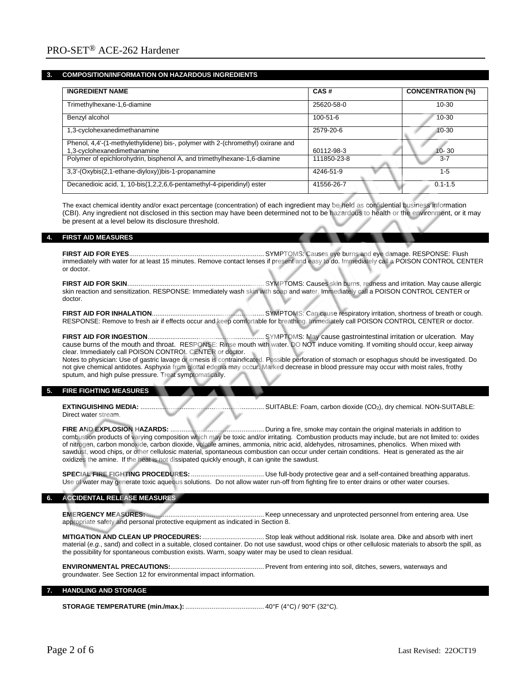## **3. COMPOSITION/INFORMATION ON HAZARDOUS INGREDIENTS**

| <b>INGREDIENT NAME</b>                                                                                          | CAS#           | <b>CONCENTRATION (%)</b> |
|-----------------------------------------------------------------------------------------------------------------|----------------|--------------------------|
| Trimethylhexane-1,6-diamine                                                                                     | 25620-58-0     | $10 - 30$                |
| Benzyl alcohol                                                                                                  | $100 - 51 - 6$ | $10 - 30$                |
| 1,3-cyclohexanedimethanamine                                                                                    | 2579-20-6      | $10 - 30$                |
| Phenol, 4,4'-(1-methylethylidene) bis-, polymer with 2-(chromethyl) oxirane and<br>1,3-cyclohexanedimethanamine | 60112-98-3     | $10 - 30$                |
| Polymer of epichlorohydrin, bisphenol A, and trimethylhexane-1,6-diamine                                        | 111850-23-8    | $3 - 7$                  |
| 3,3'-(Oxybis(2,1-ethane-diyloxy))bis-1-propanamine                                                              | 4246-51-9      | $1 - 5$                  |
| Decanedioic acid, 1, 10-bis(1,2,2,6,6-pentamethyl-4-piperidinyl) ester                                          | 41556-26-7     | $0.1 - 1.5$              |

The exact chemical identity and/or exact percentage (concentration) of each ingredient may be held as confidential business information (CBI). Any ingredient not disclosed in this section may have been determined not to be hazardous to health or the environment, or it may be present at a level below its disclosure threshold.

## **4. FIRST AID MEASURES**

**FIRST AID FOR EYES**........................................................................ SYMPTOMS: Causes eye burns and eye damage. RESPONSE: Flush immediately with water for at least 15 minutes. Remove contact lenses if present and easy to do. Immediately call a POISON CONTROL CENTER or doctor.

**FIRST AID FOR SKIN**......................................................................... SYMPTOMS: Causes skin burns, redness and irritation. May cause allergic skin reaction and sensitization. RESPONSE: Immediately wash skin with soap and water. Immediately call a POISON CONTROL CENTER or doctor.

**FIRST AID FOR INHALATION**............................................................ SYMPTOMS: Can cause respiratory irritation, shortness of breath or cough. RESPONSE: Remove to fresh air if effects occur and keep comfortable for breathing. Immediately call POISON CONTROL CENTER or doctor.

**FIRST AID FOR INGESTION**.............................................................. SYMPTOMS: May cause gastrointestinal irritation or ulceration. May cause burns of the mouth and throat. RESPONSE: Rinse mouth with water. DO NOT induce vomiting. If vomiting should occur, keep airway clear. Immediately call POISON CONTROL CENTER or doctor.

Notes to physician: Use of gastric lavage or emesis is contraindicated. Possible perforation of stomach or esophagus should be investigated. Do not give chemical antidotes. Asphyxia from glottal edema may occur. Marked decrease in blood pressure may occur with moist rales, frothy sputum, and high pulse pressure. Treat symptomatically.

## **5. FIRE FIGHTING MEASURES**

**EXTINGUISHING MEDIA:** .................................................................. SUITABLE: Foam, carbon dioxide (CO2), dry chemical. NON-SUITABLE: Direct water stream.

**FIRE AND EXPLOSION HAZARDS:** .................................................. During a fire, smoke may contain the original materials in addition to combustion products of varying composition which may be toxic and/or irritating. Combustion products may include, but are not limited to: oxides of nitrogen, carbon monoxide, carbon dioxide, volatile amines, ammonia, nitric acid, aldehydes, nitrosamines, phenolics. When mixed with sawdust, wood chips, or other cellulosic material, spontaneous combustion can occur under certain conditions. Heat is generated as the air oxidizes the amine. If the heat is not dissipated quickly enough, it can ignite the sawdust.

**SPECIAL FIRE FIGHTING PROCEDURES:** ....................................... Use full-body protective gear and a self-contained breathing apparatus. Use of water may generate toxic aqueous solutions. Do not allow water run-off from fighting fire to enter drains or other water courses.

## **6. ACCIDENTAL RELEASE MEASURES**

**EMERGENCY MEASURES:**............................................................... Keep unnecessary and unprotected personnel from entering area. Use appropriate safety and personal protective equipment as indicated in Section 8.

**MITIGATION AND CLEAN UP PROCEDURES:**................................. Stop leak without additional risk. Isolate area. Dike and absorb with inert material (*e.g.*, sand) and collect in a suitable, closed container. Do not use sawdust, wood chips or other cellulosic materials to absorb the spill, as the possibility for spontaneous combustion exists. Warm, soapy water may be used to clean residual.

**ENVIRONMENTAL PRECAUTIONS:**.................................................. Prevent from entering into soil, ditches, sewers, waterways and groundwater. See Section 12 for environmental impact information.

## **7. HANDLING AND STORAGE**

**STORAGE TEMPERATURE (min./max.):** .......................................... 40°F (4°C) / 90°F (32°C).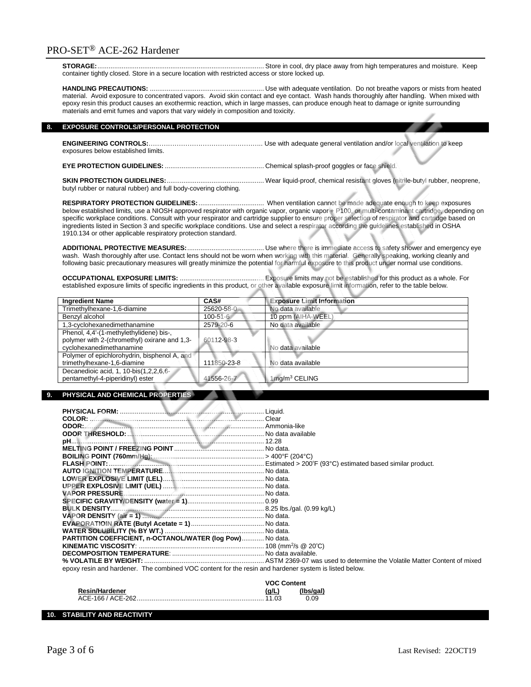**STORAGE:**......................................................................................... Store in cool, dry place away from high temperatures and moisture. Keep container tightly closed. Store in a secure location with restricted access or store locked up.

**HANDLING PRECAUTIONS:** ............................................................. Use with adequate ventilation. Do not breathe vapors or mists from heated material. Avoid exposure to concentrated vapors. Avoid skin contact and eye contact. Wash hands thoroughly after handling. When mixed with epoxy resin this product causes an exothermic reaction, which in large masses, can produce enough heat to damage or ignite surrounding materials and emit fumes and vapors that vary widely in composition and toxicity.

## **8. EXPOSURE CONTROLS/PERSONAL PROTECTION**

**ENGINEERING CONTROLS:**…………………………………………….. Use with adequate general ventilation and/or local ventilation to keep exposures below established limits.

**EYE PROTECTION GUIDELINES:** ..................................................... Chemical splash-proof goggles or face shield.

**SKIN PROTECTION GUIDELINES:**.................................................... Wear liquid-proof, chemical resistant gloves (nitrile-butyl rubber, neoprene, butyl rubber or natural rubber) and full body-covering clothing.

**RESPIRATORY PROTECTION GUIDELINES:**................................... When ventilation cannot be made adequate enough to keep exposures below established limits, use a NIOSH approved respirator with organic vapor, organic vapor + P100, or multi-contaminant cartridge, depending on specific workplace conditions. Consult with your respirator and cartridge supplier to ensure proper selection of respirator and cartridge based on ingredients listed in Section 3 and specific workplace conditions. Use and select a respirator according the guidelines established in OSHA 1910.134 or other applicable respiratory protection standard.

**ADDITIONAL PROTECTIVE MEASURES:**......................................... Use where there is immediate access to safety shower and emergency eye wash. Wash thoroughly after use. Contact lens should not be worn when working with this material. Generally speaking, working cleanly and following basic precautionary measures will greatly minimize the potential for harmful exposure to this product under normal use conditions.

**OCCUPATIONAL EXPOSURE LIMITS:** ............................................. Exposure limits may not be established for this product as a whole. For established exposure limits of specific ingredients in this product, or other available exposure limit information, refer to the table below.

| <b>Ingredient Name</b>                       | CAS#            | <b>Exposure Limit Information</b> |
|----------------------------------------------|-----------------|-----------------------------------|
| Trimethylhexane-1,6-diamine                  | 25620-58-0      | No data available                 |
| Benzyl alcohol                               | $100 - 51 - 6$  | 10 ppm (AIHA-WEEL                 |
| 1,3-cyclohexanedimethanamine                 | $2579 - 20 - 6$ | No data available                 |
| Phenol, 4,4'-(1-methylethylidene) bis-,      |                 |                                   |
| polymer with 2-(chromethyl) oxirane and 1,3- | 60112-98-3      |                                   |
| cyclohexanedimethanamine                     |                 | No data available                 |
| Polymer of epichlorohydrin, bisphenol A, and |                 |                                   |
| trimethylhexane-1,6-diamine                  | 111850-23-8     | No data available                 |
| Decanedioic acid, 1, 10-bis(1,2,2,6,6-       |                 |                                   |
| pentamethyl-4-piperidinyl) ester             | 41556-26-7      | $1$ mg/m $3$ CELING               |

## **9. PHYSICAL AND CHEMICAL PROPERTIES**

| COLOR: Color Clear                                                                                    |  |
|-------------------------------------------------------------------------------------------------------|--|
| ODOR: Ammonia-like                                                                                    |  |
|                                                                                                       |  |
|                                                                                                       |  |
|                                                                                                       |  |
|                                                                                                       |  |
|                                                                                                       |  |
|                                                                                                       |  |
|                                                                                                       |  |
|                                                                                                       |  |
|                                                                                                       |  |
|                                                                                                       |  |
|                                                                                                       |  |
|                                                                                                       |  |
|                                                                                                       |  |
|                                                                                                       |  |
| PARTITION COEFFICIENT, n-OCTANOL/WATER (log Pow) No data.                                             |  |
|                                                                                                       |  |
|                                                                                                       |  |
|                                                                                                       |  |
| epoxy resin and hardener. The combined VOC content for the resin and hardener system is listed below. |  |
|                                                                                                       |  |

|                       | <b>VOC Content</b> |           |
|-----------------------|--------------------|-----------|
| <b>Resin/Hardener</b> | (a/L)              | (Ibs/gal) |
| ACE-166 / ACE-262     |                    | 0.09      |

## **10. STABILITY AND REACTIVITY**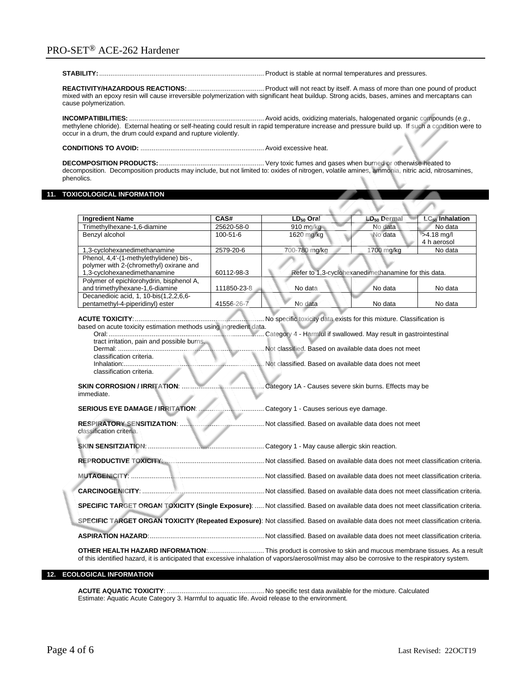## PRO-SET® ACE-262 Hardener

## **STABILITY:**........................................................................................ Product is stable at normal temperatures and pressures.

**REACTIVITY/HAZARDOUS REACTIONS:**......................................... Product will not react by itself. A mass of more than one pound of product mixed with an epoxy resin will cause irreversible polymerization with significant heat buildup. Strong acids, bases, amines and mercaptans can cause polymerization.

## **INCOMPATIBILITIES:** ........................................................................ Avoid acids, oxidizing materials, halogenated organic compounds (*e.g.*, methylene chloride). External heating or self-heating could result in rapid temperature increase and pressure build up. If such a condition were to occur in a drum, the drum could expand and rupture violently.

**CONDITIONS TO AVOID:** .................................................................. Avoid excessive heat.

**DECOMPOSITION PRODUCTS:**........................................................ Very toxic fumes and gases when burned or otherwise heated to decomposition. Decomposition products may include, but not limited to: oxides of nitrogen, volatile amines, ammonia, nitric acid, nitrosamines, phenolics.

## **11. TOXICOLOGICAL INFORMATION**

| <b>Ingredient Name</b>                                                                                                                                                                                                                                         | CAS#           | $LD50$ Oral                                                                                                                                                                            | $LD_{50}$ Dermal                                     | $LC_{50}$ Inhalation |
|----------------------------------------------------------------------------------------------------------------------------------------------------------------------------------------------------------------------------------------------------------------|----------------|----------------------------------------------------------------------------------------------------------------------------------------------------------------------------------------|------------------------------------------------------|----------------------|
| Trimethylhexane-1,6-diamine                                                                                                                                                                                                                                    | 25620-58-0     | 910 $mg/kg$                                                                                                                                                                            | No data                                              | No data              |
| Benzvl alcohol                                                                                                                                                                                                                                                 | $100 - 51 - 6$ | 1620 mg/kg                                                                                                                                                                             | No data                                              | $>4.18$ mg/l         |
|                                                                                                                                                                                                                                                                |                |                                                                                                                                                                                        |                                                      | 4 h aerosol          |
| 1,3-cyclohexanedimethanamine                                                                                                                                                                                                                                   | 2579-20-6      | 700-780 mg/kg                                                                                                                                                                          | 1700 mg/kg                                           | No data              |
| Phenol, 4,4'-(1-methylethylidene) bis-,                                                                                                                                                                                                                        |                |                                                                                                                                                                                        |                                                      |                      |
| polymer with 2-(chromethyl) oxirane and                                                                                                                                                                                                                        |                |                                                                                                                                                                                        |                                                      |                      |
| 1,3-cyclohexanedimethanamine                                                                                                                                                                                                                                   | 60112-98-3     |                                                                                                                                                                                        | Refer to 1,3-cyclohexanedimethanamine for this data. |                      |
| Polymer of epichlorohydrin, bisphenol A,                                                                                                                                                                                                                       |                |                                                                                                                                                                                        |                                                      |                      |
| and trimethylhexane-1,6-diamine                                                                                                                                                                                                                                | 111850-23-8    | No data                                                                                                                                                                                | No data                                              | No data              |
| Decanedioic acid, 1, 10-bis(1,2,2,6,6-                                                                                                                                                                                                                         |                |                                                                                                                                                                                        |                                                      |                      |
| pentamethyl-4-piperidinyl) ester                                                                                                                                                                                                                               | 41556-26-7     | No data                                                                                                                                                                                | No data                                              | No data              |
| based on acute toxicity estimation methods using ingredient data.<br>tract irritation, pain and possible burns.<br>classification criteria.<br>classification criteria.                                                                                        |                | No specific toxicity data exists for this mixture. Classification is<br>Not classified. Based on available data does not meet<br>Not classified. Based on available data does not meet |                                                      |                      |
| <b>SKIN CORROSION / IRRITATION:</b><br>Category 1A - Causes severe skin burns. Effects may be<br>immediate.<br>SERIOUS EYE DAMAGE / IRRITATION:<br>Category 1 - Causes serious eye damage.                                                                     |                |                                                                                                                                                                                        |                                                      |                      |
| <b>RESPIRATORY SENSITIZATION: </b><br>Not classified. Based on available data does not meet<br>classification criteria.                                                                                                                                        |                |                                                                                                                                                                                        |                                                      |                      |
|                                                                                                                                                                                                                                                                |                |                                                                                                                                                                                        |                                                      |                      |
|                                                                                                                                                                                                                                                                |                |                                                                                                                                                                                        |                                                      |                      |
|                                                                                                                                                                                                                                                                |                |                                                                                                                                                                                        |                                                      |                      |
|                                                                                                                                                                                                                                                                |                |                                                                                                                                                                                        |                                                      |                      |
| SPECIFIC TARGET ORGAN TOXICITY (Single Exposure):  Not classified. Based on available data does not meet classification criteria.                                                                                                                              |                |                                                                                                                                                                                        |                                                      |                      |
| SPECIFIC TARGET ORGAN TOXICITY (Repeated Exposure): Not classified. Based on available data does not meet classification criteria.                                                                                                                             |                |                                                                                                                                                                                        |                                                      |                      |
|                                                                                                                                                                                                                                                                |                |                                                                                                                                                                                        |                                                      |                      |
| OTHER HEALTH HAZARD INFORMATION:  This product is corrosive to skin and mucous membrane tissues. As a result<br>of this identified hazard, it is anticipated that excessive inhalation of vapors/aerosol/mist may also be corrosive to the respiratory system. |                |                                                                                                                                                                                        |                                                      |                      |

## **12. ECOLOGICAL INFORMATION**

**ACUTE AQUATIC TOXICITY**: .................................................... No specific test data available for the mixture. Calculated Estimate: Aquatic Acute Category 3. Harmful to aquatic life. Avoid release to the environment.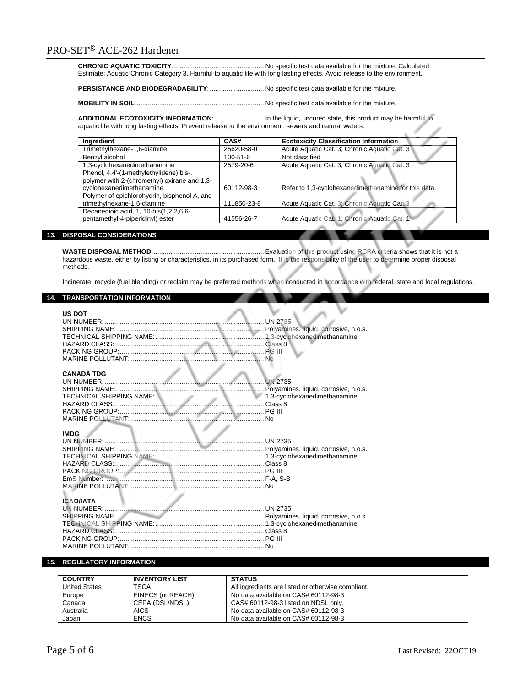**CHRONIC AQUATIC TOXICITY**:................................................ No specific test data available for the mixture. Calculated Estimate: Aquatic Chronic Category 3. Harmful to aquatic life with long lasting effects. Avoid release to the environment.

**PERSISTANCE AND BIODEGRADABILITY**:............................. No specific test data available for the mixture.

**MOBILITY IN SOIL**:.................................................................... No specific test data available for the mixture.

**ADDITIONAL ECOTOXICITY INFORMATION**:........................... In the liquid, uncured state, this product may be harmful to aquatic life with long lasting effects. Prevent release to the environment, sewers and natural waters.

| Ingredient                                   | CAS#           | <b>Ecotoxicity Classification Information</b>        |
|----------------------------------------------|----------------|------------------------------------------------------|
| Trimethylhexane-1,6-diamine                  | 25620-58-0     | Acute Aquatic Cat. 3; Chronic Aquatic Cat. 3         |
| Benzyl alcohol                               | $100 - 51 - 6$ | Not classified                                       |
| 1,3-cyclohexanedimethanamine                 | 2579-20-6      | Acute Aquatic Cat. 3; Chronic Aquatic Cat. 3         |
| Phenol, 4,4'-(1-methylethylidene) bis-,      |                |                                                      |
| polymer with 2-(chromethyl) oxirane and 1,3- |                |                                                      |
| cyclohexanedimethanamine                     | 60112-98-3     | Refer to 1,3-cyclohexanedimethanamine for this data. |
| Polymer of epichlorohydrin, bisphenol A, and |                |                                                      |
| trimethylhexane-1,6-diamine                  | 111850-23-8    | Acute Aquatic Cat. 3; Chronic Aquatic Cat. 3         |
| Decanedioic acid, 1, 10-bis(1,2,2,6,6-       |                |                                                      |
| pentamethyl-4-piperidinyl) ester             | 41556-26-7     | Acute Aquatic Cat. 1; Chronic Aquatic Cat. 1         |

## **13. DISPOSAL CONSIDERATIONS**

**WASTE DISPOSAL METHOD:**........................................................... Evaluation of this product using RCRA criteria shows that it is not a hazardous waste, either by listing or characteristics, in its purchased form. It is the responsibility of the user to determine proper disposal methods.

Incinerate, recycle (fuel blending) or reclaim may be preferred methods when conducted in accordance with federal, state and local regulations.

## **14. TRANSPORTATION INFORMATION**

| <b>US DOT</b>                                                                            |                |
|------------------------------------------------------------------------------------------|----------------|
|                                                                                          |                |
|                                                                                          |                |
| <b>CANADA TDG</b><br>HAZARD CLASS: CONSTRUCTION CLASS &                                  | <b>UN 2735</b> |
|                                                                                          |                |
| <b>IMDG</b><br><b>ICAO/IATA</b>                                                          |                |
| SHIPPING NAME: Matthews Matthews Matthews Matthews Polyamines, liquid, corrosive, n.o.s. |                |
|                                                                                          |                |
|                                                                                          |                |
|                                                                                          |                |
|                                                                                          |                |

## **15. REGULATORY INFORMATION**

| <b>COUNTRY</b>       | <b>INVENTORY LIST</b> | <b>STATUS</b>                                      |
|----------------------|-----------------------|----------------------------------------------------|
| <b>United States</b> | <b>TSCA</b>           | All ingredients are listed or otherwise compliant. |
| Europe               | EINECS (or REACH)     | No data available on CAS# 60112-98-3               |
| Canada               | CEPA (DSL/NDSL)       | CAS# 60112-98-3 listed on NDSL only.               |
| Australia            | <b>AICS</b>           | No data available on CAS# 60112-98-3               |
| Japan                | <b>ENCS</b>           | No data available on CAS# 60112-98-3               |